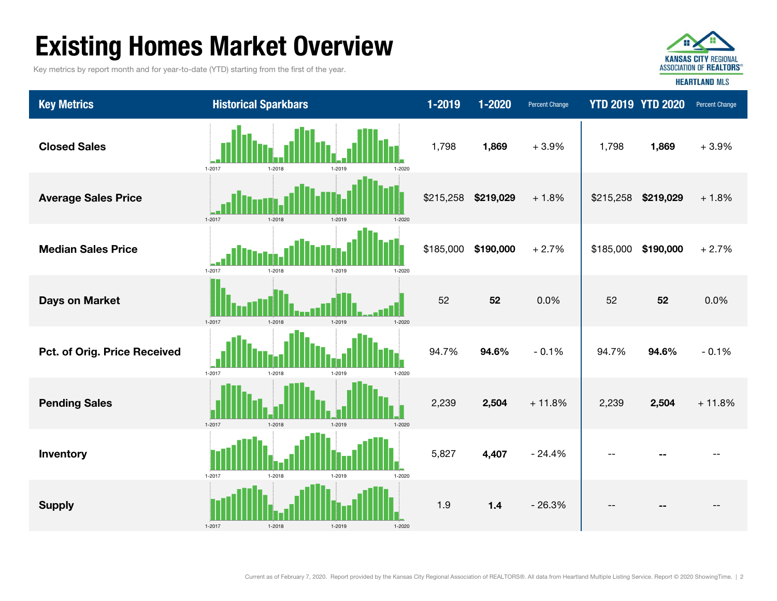# Existing Homes Market Overview

Key metrics by report month and for year-to-date (YTD) starting from the first of the year.



Key Metrics **Examples Transfer Change 1-2019 1-2019** 1-2020 Percent Change YTD 2019 YTD 2020 Percent Change Closed Sales 1,798 1,869 + 3.9% 1,869 + 3.9% Average Sales Price **12. Average Sales Price**  $\frac{1}{2}$  **2.15,258 5219,029**  $\frac{1}{2}$  **2.15,258 5219,029**  $\frac{1}{2}$  **2.15,258 5219,029**  $\frac{1}{2}$  **5215,258 5219,029**  $\frac{1}{2}$  **5215,258 5219,029**  $\frac{1}{2}$  **5215** 1,798 + 2.7%Days on Market **19 and 19 and 19 and 19 and 19 and 19 and 19 and 19 and 19 and 19 and 19 and 19 and 19 and 19 and 19 and 19 and 19 and 19 and 19 and 19 and 19 and 19 and 19 and 19 and 19 and 19 and 19 and 19 and 19 and 19** Median Sales Price $$185,000$  \$190,000 + 2.7% \$185,000 \$190,000  $-0.1%$ Pending Sales 2,239 2,504 + 11.8% 2,239 2,504 + 11.8% **Pct. of Orig. Price Received 194.6% 2008 194.6% 194.6% 194.6% 94.6% 94.6% 94.6% 94.6% 94.6%** --Supply 1.9 1.4 - 26.3% -- -- -- Inventory 5,827 4,407 - 24.4% -- -- 1-2017 1-2018 1-2019 1-2020 1-2017 1-2018 1-2019 1-2020 1-2017 1-2018 1-2019 1-2020 1-2017 1-2018 1-2019 1-2020 1-2017 1-2018 1-2019 1-2020 1-2017 1-2018 1-2019 1-2020 1-2017 1-2018 1-2019 1-2020 1-20171-2018 1-2019 1-2020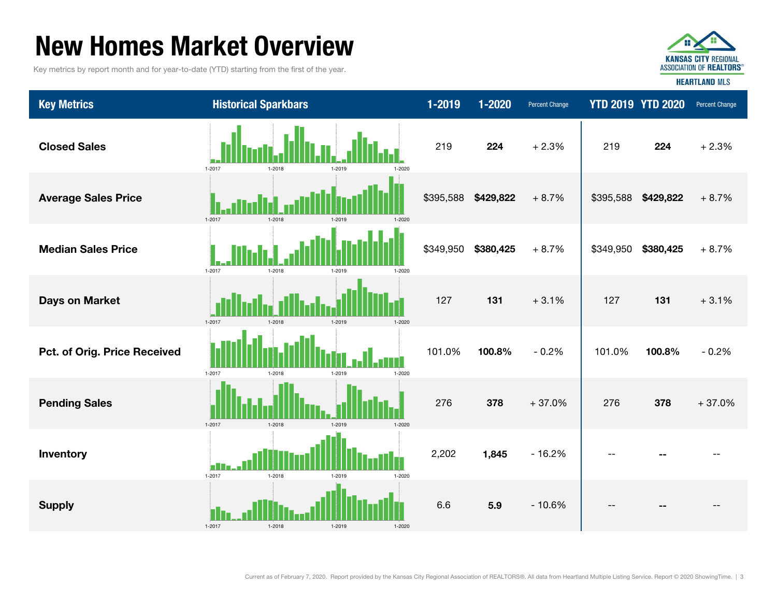### New Homes Market Overview

Key metrics by report month and for year-to-date (YTD) starting from the first of the year.



**HEARTLAND MLS** 

Key Metrics **Examples Transfer Change 1-2019 1-2019** 1-2020 Percent Change YTD 2019 YTD 2020 Percent Change Closed Sales219224 + 2.3% 219 224 + 2.3% 1-2017 1-2018 1-2019 1-2020 Average Sales Price **1. 2006. In the Saudio Contract of the Saudio Contract Average Sales Price** + 8.7%  $\parallel$  \$395,588 \$429,822 + 8.7% 1-2017 1-2018 1-2019 1-2020 Median Sales Price $$349,950$   $$380,425$   $+8.7\%$  | \$349,950  $$380,425 + 8.7\%$ 1-2017 1-2018 1-2019 1-2020 Days on Market **127** 131 **127** 131 **127** 131 **127** 131 **127** 131 + 3.1%1-2017 1-2018 1-2019 1-2020 **Pct. of Orig. Price Received 101.0% 101.0 | 101.0 | 101.0 | 101.0 | 101.0 | 101.0 | 101.0 | 101.0 | 101.0 | 1** 100.8% - 0.2% 1-2017 1-2018 1-2019 1-2020 Pending Sales 276 378 + 37.0% 276 378 + 37.0%1-2017 1-2018 1-2019 1-2020 Inventory 2,202 1,845 - 16.2% -- -- - п 1-2017 1-2018 1-2019 1-2020 Supply 6.6 5.9 - 10.6% -- -- -- 1-20171-2018 1-2019 1-2020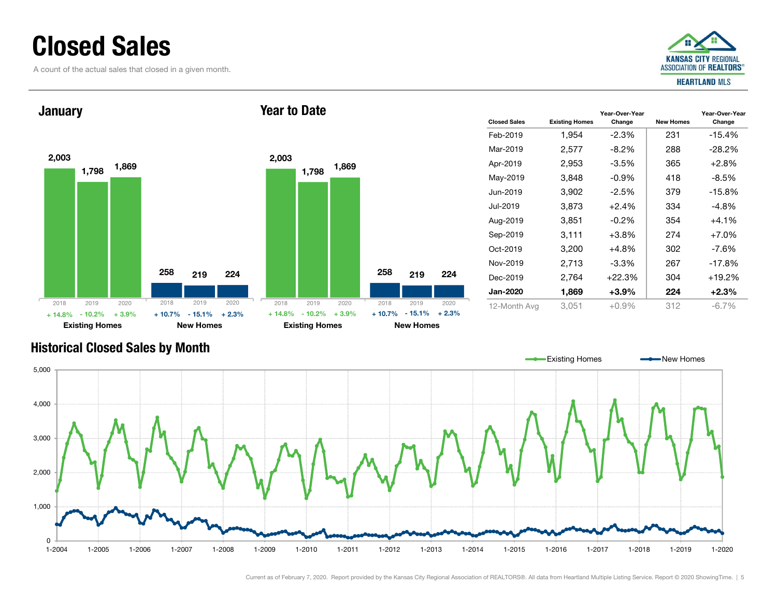### Closed Sales

A count of the actual sales that closed in a given month.





#### Change New Homes Year-Over-Year Change 1,954 -2.3% 231 -15.4% 2,577 -8.2% 288 -28.2% Apr-2019 2,953 -3.5% 365 +2.8% May-2019 3.848 -0.9% 418 -8.5% 3,902 -2.5% 379 -15.8%  $3,873 +2.4\%$  334 -4.8% Aug-2019 3,851 -0.2% 354 +4.1% Sep-2019 3,111 +3.8% 274 +7.0% 3,200 +4.8% 302 -7.6% 2,713 -3.3% 267 -17.8% 2,764 +22.3% 304 +19.2%  $1.869 +3.9\%$  224 +2.3%

#### Historical Closed Sales by Month



Current as of February 7, 2020. Report provided by the Kansas City Regional Association of REALTORS®. All data from Heartland Multiple Listing Service. Report © 2020 ShowingTime. | 5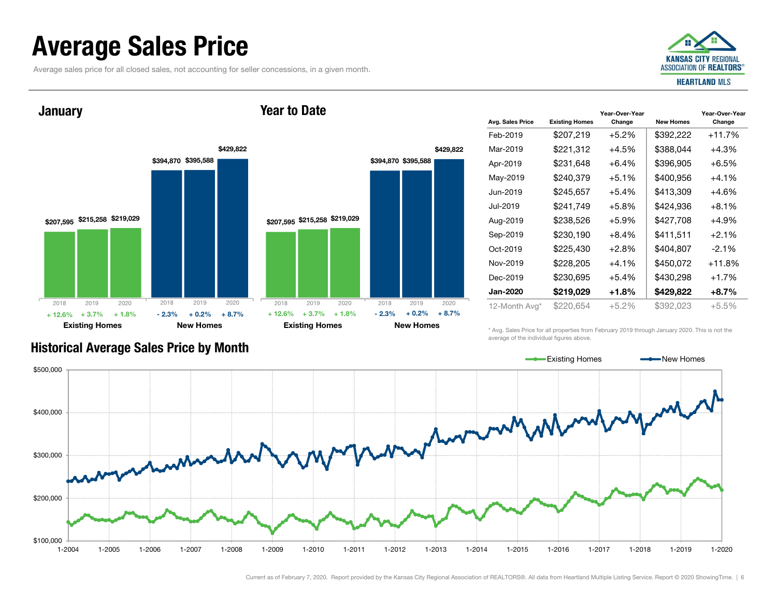### Average Sales Price

Average sales price for all closed sales, not accounting for seller concessions, in a given month.



**January** 

#### Year to Date



| Avg. Sales Price | <b>Existing Homes</b> | Year-Over-Year<br>Change | <b>New Homes</b> | Year-Over-Year<br>Change |  |
|------------------|-----------------------|--------------------------|------------------|--------------------------|--|
| Feb-2019         | \$207,219             | $+5.2%$                  | \$392,222        | +11.7%                   |  |
| Mar-2019         | \$221,312             | $+4.5%$                  | \$388,044        | $+4.3%$                  |  |
| Apr-2019         | \$231,648             | $+6.4\%$                 | \$396,905        | $+6.5%$                  |  |
| May-2019         | \$240,379             | $+5.1%$                  | \$400,956        | $+4.1%$                  |  |
| Jun-2019         | \$245,657             | $+5.4%$                  | \$413,309        | $+4.6%$                  |  |
| Jul-2019         | \$241,749             | $+5.8%$                  | \$424,936        | $+8.1%$                  |  |
| Aug-2019         | \$238,526             | $+5.9%$                  | \$427,708        | $+4.9%$                  |  |
| Sep-2019         | \$230,190             | $+8.4%$                  | \$411,511        | $+2.1%$                  |  |
| Oct-2019         | \$225,430             | $+2.8\%$                 | \$404,807        | $-2.1\%$                 |  |
| Nov-2019         | \$228,205             | $+4.1%$                  | \$450,072        | $+11.8%$                 |  |
| Dec-2019         | \$230,695             | $+5.4\%$                 | \$430,298        | $+1.7%$                  |  |
| <b>Jan-2020</b>  | \$219,029             | $+1.8%$                  | \$429,822        | $+8.7\%$                 |  |
| 12-Month Avg*    | \$220,654             | $+5.2%$                  | \$392,023        | $+5.5%$                  |  |

\* Avg. Sales Price for all properties from February 2019 through January 2020. This is not the average of the individual figures above.



Historical Average Sales Price by Month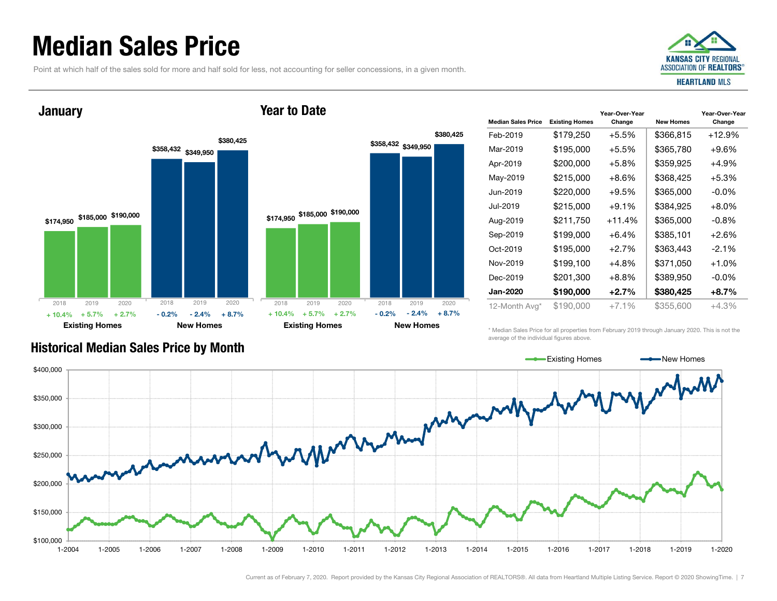### Median Sales Price

Point at which half of the sales sold for more and half sold for less, not accounting for seller concessions, in a given month.



Year-Over-Year Change

# \$174,950 \$185,000 \$190,000 \$358,432 \$349,950 \$380,425 **January**

2018

2019 2020

Year to Date

2018



\* Median Sales Price for all properties from February 2019 through January 2020. This is not the average of the individual figures above.



Existing Homes New Homes

### Historical Median Sales Price by Month

2019 2020

2018

Existing Homes New Homes

Current as of February 7, 2020. Report provided by the Kansas City Regional Association of REALTORS®. All data from Heartland Multiple Listing Service. Report © 2020 ShowingTime. | 7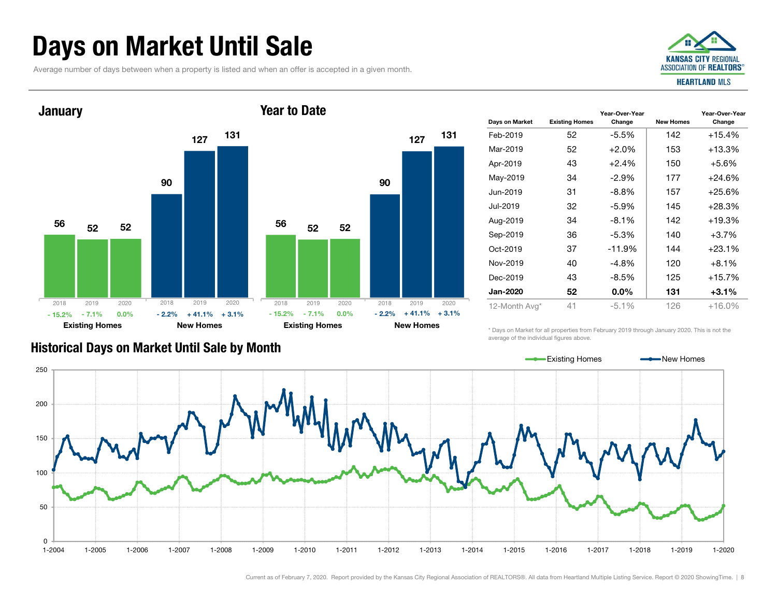### Days on Market Until Sale

Average number of days between when a property is listed and when an offer is accepted in a given month.





| Days on Market  | <b>Existing Homes</b> | Year-Over-Year<br>Change | <b>New Homes</b> | Year-Over-Year<br>Change |  |
|-----------------|-----------------------|--------------------------|------------------|--------------------------|--|
| Feb-2019        | 52                    | $-5.5\%$                 | 142              | $+15.4%$                 |  |
| Mar-2019        | 52                    | $+2.0%$                  | 153              | $+13.3%$                 |  |
| Apr-2019        | 43                    | $+2.4%$                  | 150              | $+5.6\%$                 |  |
| May-2019        | 34                    | $-2.9\%$                 | 177              | $+24.6%$                 |  |
| Jun-2019        | 31                    | $-8.8\%$                 | 157              | $+25.6\%$                |  |
| Jul-2019        | 32                    | $-5.9\%$                 | 145              | $+28.3%$                 |  |
| Aug-2019        | 34                    | $-8.1\%$                 | 142              | $+19.3%$                 |  |
| Sep-2019        | 36                    | -5.3%                    | 140              | $+3.7%$                  |  |
| Oct-2019        | 37                    | $-11.9%$                 | 144              | $+23.1%$                 |  |
| Nov-2019        | 40                    | $-4.8%$                  | 120              | $+8.1\%$                 |  |
| Dec-2019        | 43                    | $-8.5%$                  | 125              | $+15.7\%$                |  |
| <b>Jan-2020</b> | 52                    | $0.0\%$                  | 131              | $+3.1%$                  |  |
| 12-Month Avg*   | 41                    | $-5.1%$                  | 126              | $+16.0%$                 |  |

#### Historical Days on Market Until Sale by Month

\* Days on Market for all properties from February 2019 through January 2020. This is not the average of the individual figures above.

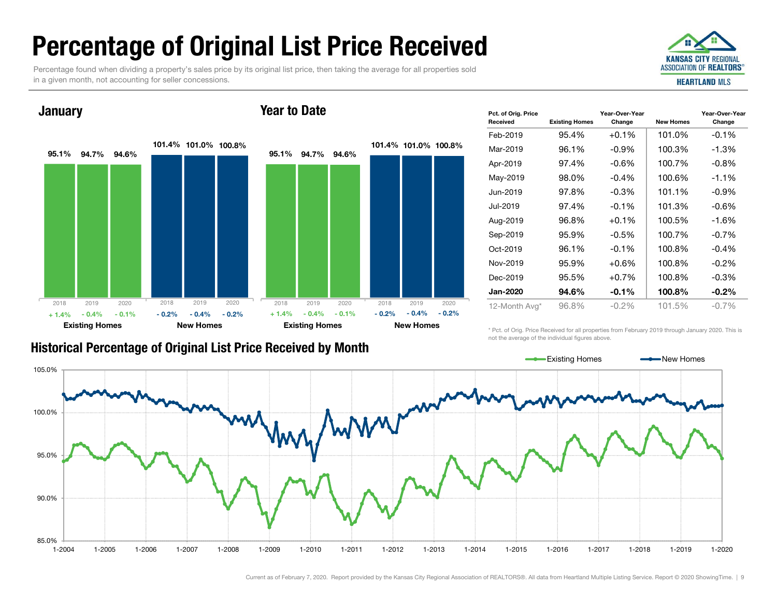## Percentage of Original List Price Received

Percentage found when dividing a property's sales price by its original list price, then taking the average for all properties sold in a given month, not accounting for seller concessions.



Year-Over-Year

#### **January**

#### Year to Date



| .<br>Received   | <b>Existing Homes</b> | Change   | <b>New Homes</b> | Change   |  |  |
|-----------------|-----------------------|----------|------------------|----------|--|--|
| Feb-2019        | 95.4%                 | $+0.1%$  | 101.0%           | $-0.1%$  |  |  |
| Mar-2019        | 96.1%                 | $-0.9\%$ | 100.3%           | $-1.3%$  |  |  |
| Apr-2019        | 97.4%                 | $-0.6\%$ | 100.7%           | $-0.8%$  |  |  |
| May-2019        | 98.0%                 | $-0.4%$  | 100.6%           | $-1.1%$  |  |  |
| Jun-2019        | 97.8%                 | $-0.3\%$ | 101.1%           | $-0.9\%$ |  |  |
| Jul-2019        | 97.4%                 | $-0.1%$  | 101.3%           | $-0.6%$  |  |  |
| Aug-2019        | 96.8%                 | $+0.1%$  | 100.5%           | $-1.6%$  |  |  |
| Sep-2019        | 95.9%                 | $-0.5%$  | 100.7%           | $-0.7%$  |  |  |
| Oct-2019        | 96.1%                 | $-0.1%$  | 100.8%           | $-0.4%$  |  |  |
| Nov-2019        | 95.9%                 | $+0.6\%$ | 100.8%           | $-0.2\%$ |  |  |
| Dec-2019        | 95.5%                 | $+0.7%$  | 100.8%           | $-0.3%$  |  |  |
| <b>Jan-2020</b> | 94.6%                 | $-0.1\%$ | 100.8%           | $-0.2%$  |  |  |
| 12-Month Avg*   | 96.8%                 | $-0.2\%$ | 101.5%           | $-0.7%$  |  |  |

Year-Over-Year

\* Pct. of Orig. Price Received for all properties from February 2019 through January 2020. This is not the average of the individual figures above.



Pct. of Orig. Price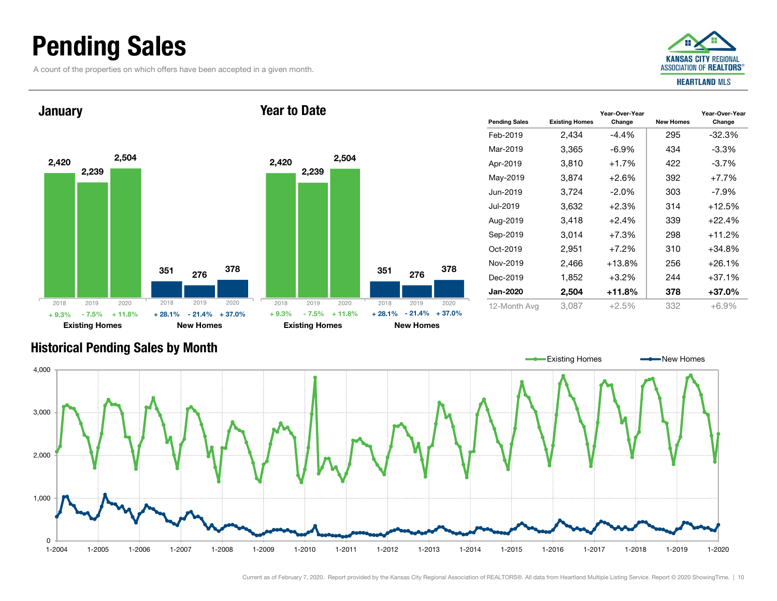### Pending Sales

A count of the properties on which offers have been accepted in a given month.



Year-Over-Year Change



#### Historical Pending Sales by Month

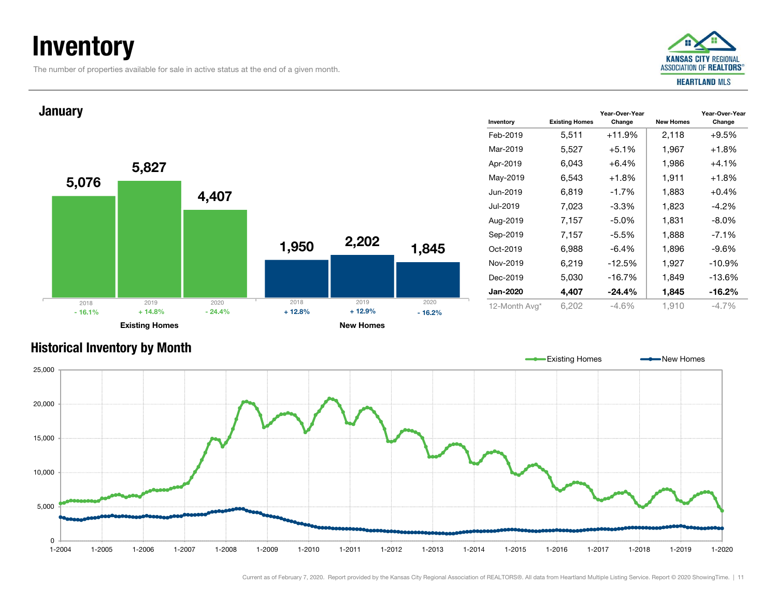### **Inventory**

The number of properties available for sale in active status at the end of a given month.



#### Inventory Existing Homes Feb-2019Mar-2019Jun-2019Jul-2019Oct-2019Nov-2019Dec-2019Jan-20205,076 1,950 5,827 2,202 4,407 1,845 Existing Homes **New Homes** New Homes **January** 2018 2019 2020  $\%$  + 14.8% - 24.4% + 12.8%  $- 24.4\%$   $+ 12.8\%$   $+ 12.9\%$  $-16.2%$ 2018 2019 2020 - 16.1%

| Inventory       | <b>Existing Homes</b> | Year-Over-Year<br>Change | <b>New Homes</b> | Year-Over-Year<br>Change |
|-----------------|-----------------------|--------------------------|------------------|--------------------------|
| Feb-2019        | 5,511                 | $+11.9%$                 | 2,118            | $+9.5%$                  |
| Mar-2019        | 5,527                 | $+5.1%$                  | 1,967            | $+1.8%$                  |
| Apr-2019        | 6,043                 | $+6.4%$                  | 1,986            | $+4.1%$                  |
| May-2019        | 6,543                 | $+1.8%$                  | 1,911            | $+1.8%$                  |
| Jun-2019        | 6,819                 | $-1.7%$                  | 1,883            | $+0.4%$                  |
| Jul-2019        | 7,023                 | $-3.3\%$                 | 1,823            | $-4.2\%$                 |
| Aug-2019        | 7,157                 | $-5.0%$                  | 1,831            | $-8.0\%$                 |
| Sep-2019        | 7,157                 | $-5.5%$                  | 1,888            | $-7.1%$                  |
| Oct-2019        | 6,988                 | $-6.4%$                  | 1,896            | $-9.6\%$                 |
| Nov-2019        | 6,219                 | $-12.5%$                 | 1,927            | $-10.9\%$                |
| Dec-2019        | 5,030                 | $-16.7%$                 | 1,849            | $-13.6%$                 |
| <b>Jan-2020</b> | 4,407                 | $-24.4%$                 | 1,845            | $-16.2%$                 |
| 12-Month Avg*   | 6,202                 | -4.6%                    | 1,910            | $-4.7\%$                 |

#### Historical Inventory by Month

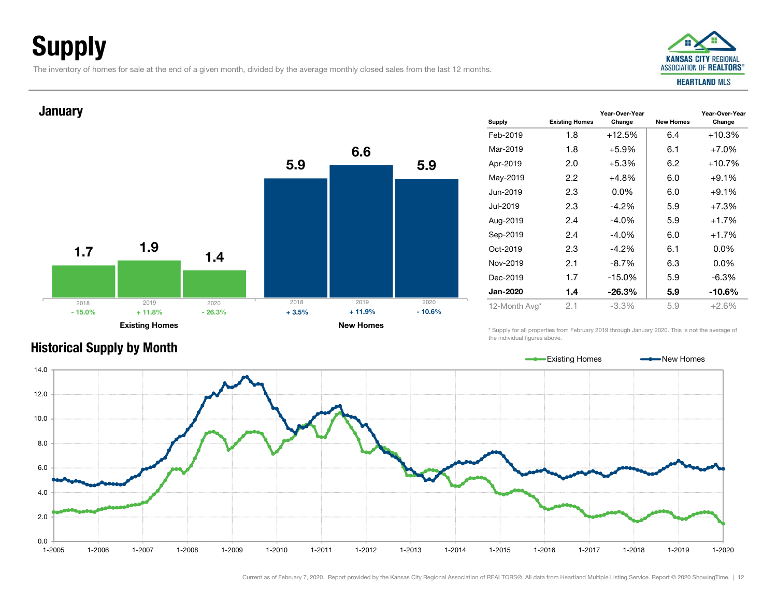## Supply

The inventory of homes for sale at the end of a given month, divided by the average monthly closed sales from the last 12 months.

Existing Homes New Homes



Change

#### Supply Existing Homes Year-Over-Year Change New Homes Year-Over-Year Feb-2019 1.8 +12.5% 6.4 +10.3%Mar-20191.8  $+5.9\%$  6.1  $+7.0\%$ Apr-2019 2.0 +5.3% 6.2 +10.7% May-2019 2.2  $+4.8\%$  6.0  $+9.1\%$ Jun-2019 2.3 0.0% 6.0 +9.1%Jul-2019 2.3 -4.2% 5.9 +7.3%Aug-2019 2.4 -4.0% 5.9 +1.7% Sep-2019 2.4 -4.0% 6.0 +1.7% Oct-2019 2.3 -4.2% 6.1 0.0%Nov-2019 2.1 -8.7% 6.3 0.0%Dec-2019 1.7 -15.0% 5.9 -6.3%Jan-2020 1.4 -26.3% 5.9 -10.6%12-Month Avg\* 2.1 -3.3% 5.9 +2.6% 1.75.91.96.61.45.9**January** 2018 2019 2020 $\%$  + 11.8% - 26.3% + 3.5%  $\%$  - 26.3% -  $+3.5\%$  -  $+11.9\%$  - 10.6% 2018 2019 2020- 15.0%

\* Supply for all properties from February 2019 through January 2020. This is not the average of the individual figures above.



### Historical Supply by Month